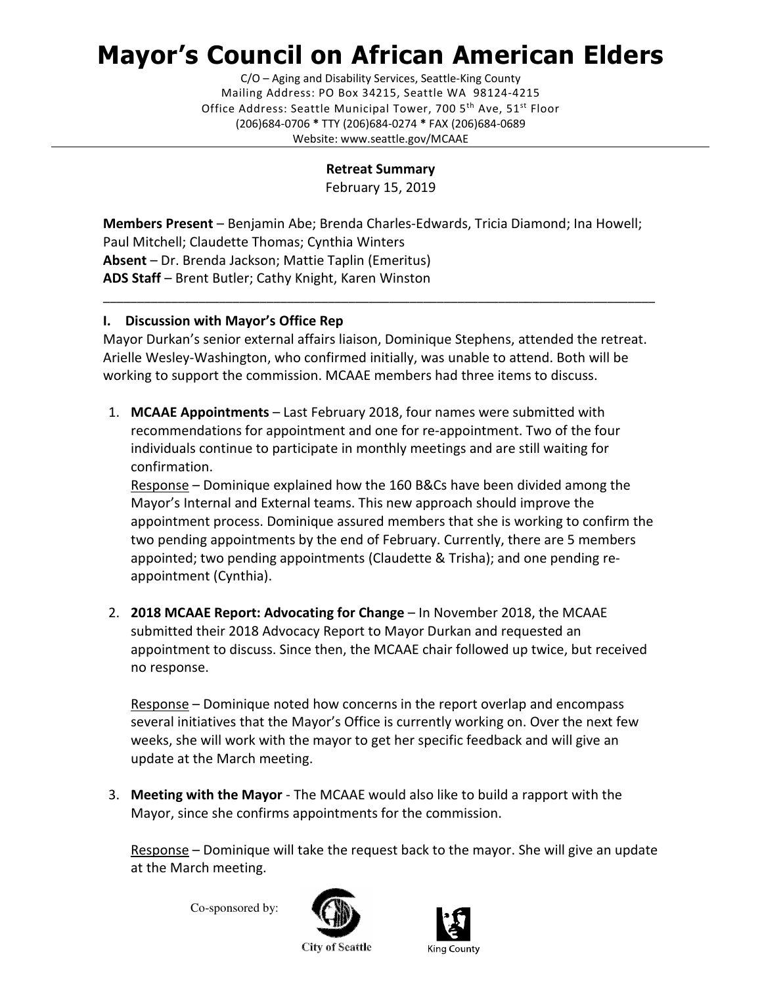# Mayor's Council on African American Elders

C/O – Aging and Disability Services, Seattle-King County Mailing Address: PO Box 34215, Seattle WA 98124-4215 Office Address: Seattle Municipal Tower, 700 5<sup>th</sup> Ave, 51<sup>st</sup> Floor (206)684-0706 \* TTY (206)684-0274 \* FAX (206)684-0689 Website: www.seattle.gov/MCAAE

Retreat Summary

February 15, 2019

Members Present – Benjamin Abe; Brenda Charles-Edwards, Tricia Diamond; Ina Howell; Paul Mitchell; Claudette Thomas; Cynthia Winters Absent – Dr. Brenda Jackson; Mattie Taplin (Emeritus) ADS Staff – Brent Butler; Cathy Knight, Karen Winston

## I. Discussion with Mayor's Office Rep

Mayor Durkan's senior external affairs liaison, Dominique Stephens, attended the retreat. Arielle Wesley-Washington, who confirmed initially, was unable to attend. Both will be working to support the commission. MCAAE members had three items to discuss.

\_\_\_\_\_\_\_\_\_\_\_\_\_\_\_\_\_\_\_\_\_\_\_\_\_\_\_\_\_\_\_\_\_\_\_\_\_\_\_\_\_\_\_\_\_\_\_\_\_\_\_\_\_\_\_\_\_\_\_\_\_\_\_\_\_\_\_\_\_\_\_\_\_\_\_\_\_\_\_\_\_

1. MCAAE Appointments – Last February 2018, four names were submitted with recommendations for appointment and one for re-appointment. Two of the four individuals continue to participate in monthly meetings and are still waiting for confirmation.

Response – Dominique explained how the 160 B&Cs have been divided among the Mayor's Internal and External teams. This new approach should improve the appointment process. Dominique assured members that she is working to confirm the two pending appointments by the end of February. Currently, there are 5 members appointed; two pending appointments (Claudette & Trisha); and one pending reappointment (Cynthia).

2. 2018 MCAAE Report: Advocating for Change – In November 2018, the MCAAE submitted their 2018 Advocacy Report to Mayor Durkan and requested an appointment to discuss. Since then, the MCAAE chair followed up twice, but received no response.

Response – Dominique noted how concerns in the report overlap and encompass several initiatives that the Mayor's Office is currently working on. Over the next few weeks, she will work with the mayor to get her specific feedback and will give an update at the March meeting.

3. Meeting with the Mayor - The MCAAE would also like to build a rapport with the Mayor, since she confirms appointments for the commission.

Response – Dominique will take the request back to the mayor. She will give an update at the March meeting.

Co-sponsored by:





**City of Seattle**